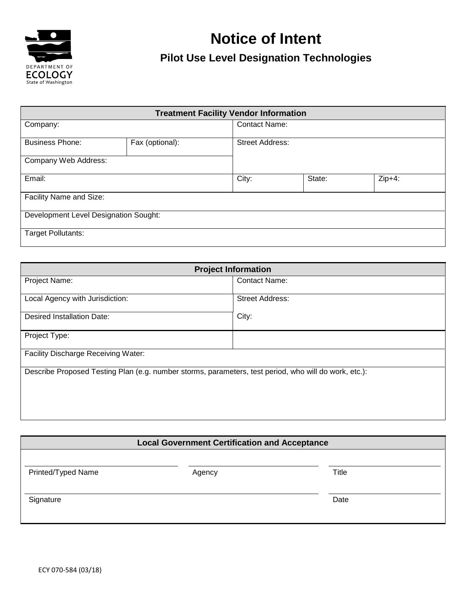

## **Notice of Intent Pilot Use Level Designation Technologies**

| <b>Treatment Facility Vendor Information</b> |                 |                      |                        |          |  |  |
|----------------------------------------------|-----------------|----------------------|------------------------|----------|--|--|
| Company:                                     |                 | <b>Contact Name:</b> |                        |          |  |  |
| <b>Business Phone:</b>                       | Fax (optional): |                      | <b>Street Address:</b> |          |  |  |
| Company Web Address:                         |                 |                      |                        |          |  |  |
| Email:                                       |                 | City:                | State:                 | $Zip+4:$ |  |  |
| Facility Name and Size:                      |                 |                      |                        |          |  |  |
| Development Level Designation Sought:        |                 |                      |                        |          |  |  |
| <b>Target Pollutants:</b>                    |                 |                      |                        |          |  |  |

| <b>Project Information</b>                                                                            |                        |  |  |  |  |
|-------------------------------------------------------------------------------------------------------|------------------------|--|--|--|--|
| Project Name:                                                                                         | <b>Contact Name:</b>   |  |  |  |  |
| Local Agency with Jurisdiction:                                                                       | <b>Street Address:</b> |  |  |  |  |
| Desired Installation Date:                                                                            | City:                  |  |  |  |  |
| Project Type:                                                                                         |                        |  |  |  |  |
| <b>Facility Discharge Receiving Water:</b>                                                            |                        |  |  |  |  |
| Describe Proposed Testing Plan (e.g. number storms, parameters, test period, who will do work, etc.): |                        |  |  |  |  |
|                                                                                                       |                        |  |  |  |  |
|                                                                                                       |                        |  |  |  |  |

| <b>Local Government Certification and Acceptance</b> |        |       |  |  |  |
|------------------------------------------------------|--------|-------|--|--|--|
| Printed/Typed Name                                   | Agency | Title |  |  |  |
| Signature                                            |        | Date  |  |  |  |
|                                                      |        |       |  |  |  |